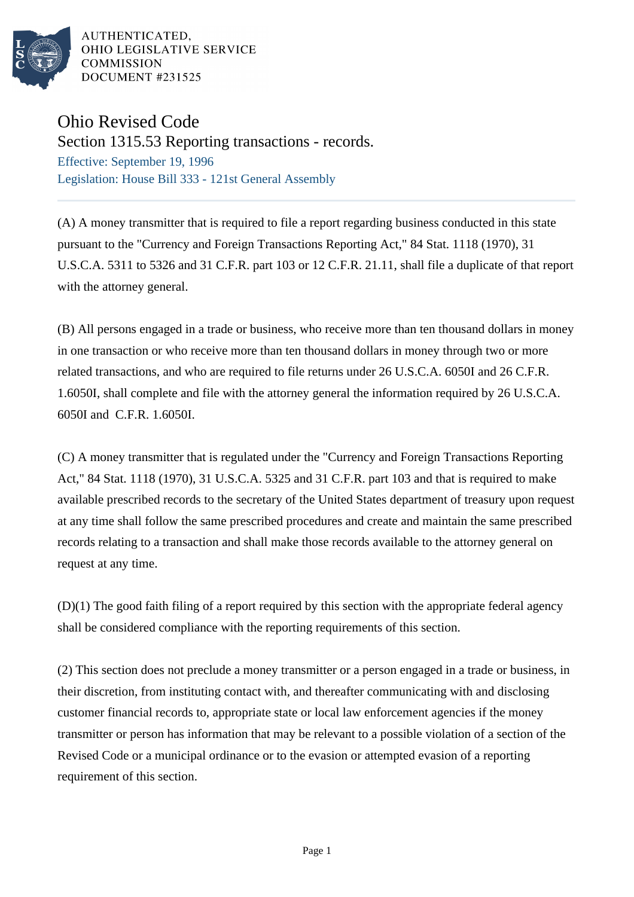

AUTHENTICATED. OHIO LEGISLATIVE SERVICE **COMMISSION** DOCUMENT #231525

## Ohio Revised Code

Section 1315.53 Reporting transactions - records.

Effective: September 19, 1996 Legislation: House Bill 333 - 121st General Assembly

(A) A money transmitter that is required to file a report regarding business conducted in this state pursuant to the "Currency and Foreign Transactions Reporting Act," 84 Stat. 1118 (1970), 31 U.S.C.A. 5311 to 5326 and 31 C.F.R. part 103 or 12 C.F.R. 21.11, shall file a duplicate of that report with the attorney general.

(B) All persons engaged in a trade or business, who receive more than ten thousand dollars in money in one transaction or who receive more than ten thousand dollars in money through two or more related transactions, and who are required to file returns under 26 U.S.C.A. 6050I and 26 C.F.R. 1.6050I, shall complete and file with the attorney general the information required by 26 U.S.C.A. 6050I and C.F.R. 1.6050I.

(C) A money transmitter that is regulated under the "Currency and Foreign Transactions Reporting Act," 84 Stat. 1118 (1970), 31 U.S.C.A. 5325 and 31 C.F.R. part 103 and that is required to make available prescribed records to the secretary of the United States department of treasury upon request at any time shall follow the same prescribed procedures and create and maintain the same prescribed records relating to a transaction and shall make those records available to the attorney general on request at any time.

(D)(1) The good faith filing of a report required by this section with the appropriate federal agency shall be considered compliance with the reporting requirements of this section.

(2) This section does not preclude a money transmitter or a person engaged in a trade or business, in their discretion, from instituting contact with, and thereafter communicating with and disclosing customer financial records to, appropriate state or local law enforcement agencies if the money transmitter or person has information that may be relevant to a possible violation of a section of the Revised Code or a municipal ordinance or to the evasion or attempted evasion of a reporting requirement of this section.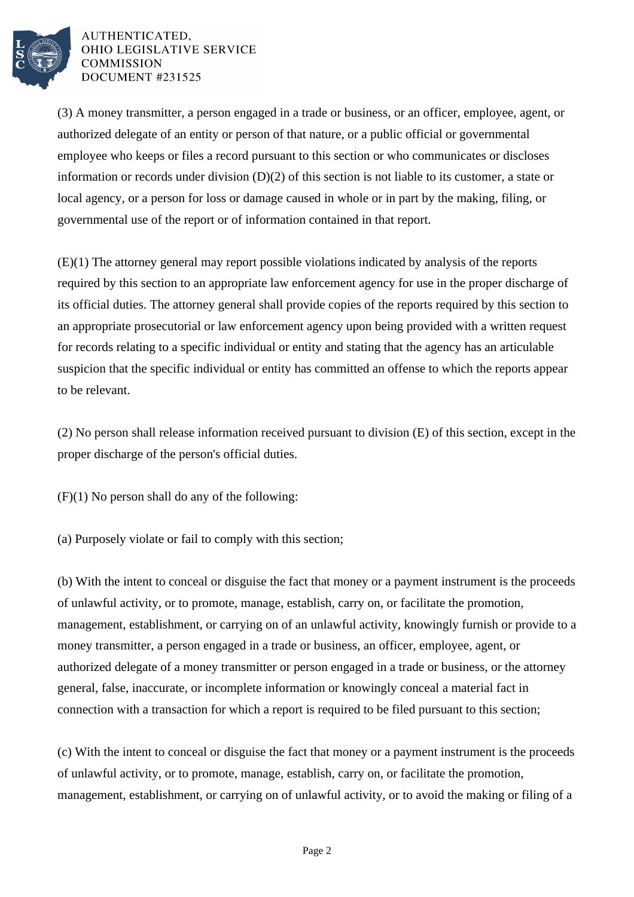

AUTHENTICATED, OHIO LEGISLATIVE SERVICE **COMMISSION** DOCUMENT #231525

(3) A money transmitter, a person engaged in a trade or business, or an officer, employee, agent, or authorized delegate of an entity or person of that nature, or a public official or governmental employee who keeps or files a record pursuant to this section or who communicates or discloses information or records under division  $(D)(2)$  of this section is not liable to its customer, a state or local agency, or a person for loss or damage caused in whole or in part by the making, filing, or governmental use of the report or of information contained in that report.

(E)(1) The attorney general may report possible violations indicated by analysis of the reports required by this section to an appropriate law enforcement agency for use in the proper discharge of its official duties. The attorney general shall provide copies of the reports required by this section to an appropriate prosecutorial or law enforcement agency upon being provided with a written request for records relating to a specific individual or entity and stating that the agency has an articulable suspicion that the specific individual or entity has committed an offense to which the reports appear to be relevant.

(2) No person shall release information received pursuant to division (E) of this section, except in the proper discharge of the person's official duties.

(F)(1) No person shall do any of the following:

(a) Purposely violate or fail to comply with this section;

(b) With the intent to conceal or disguise the fact that money or a payment instrument is the proceeds of unlawful activity, or to promote, manage, establish, carry on, or facilitate the promotion, management, establishment, or carrying on of an unlawful activity, knowingly furnish or provide to a money transmitter, a person engaged in a trade or business, an officer, employee, agent, or authorized delegate of a money transmitter or person engaged in a trade or business, or the attorney general, false, inaccurate, or incomplete information or knowingly conceal a material fact in connection with a transaction for which a report is required to be filed pursuant to this section;

(c) With the intent to conceal or disguise the fact that money or a payment instrument is the proceeds of unlawful activity, or to promote, manage, establish, carry on, or facilitate the promotion, management, establishment, or carrying on of unlawful activity, or to avoid the making or filing of a